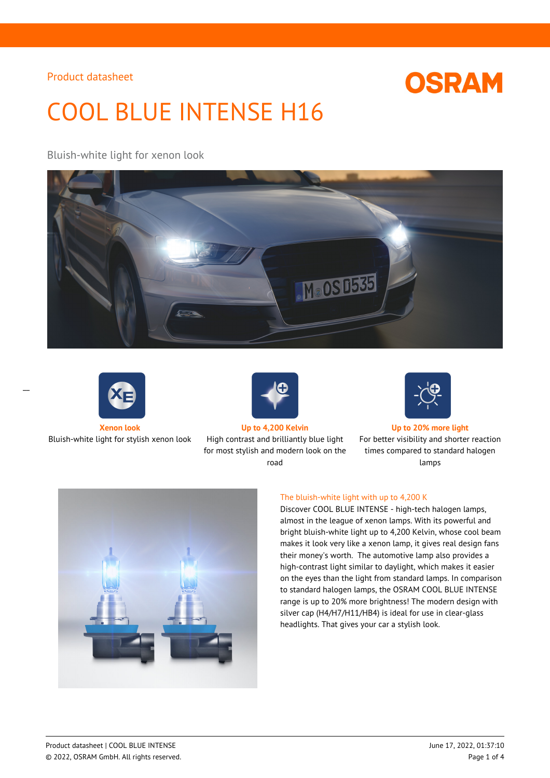# **OSRAM**

# COOL BLUE INTENSE H16

# Bluish-white light for xenon look





 $\overline{a}$ 

Bluish-white light for stylish xenon look High contrast and brilliantly blue light



for most stylish and modern look on the road



#### **Xenon look Up to 4,200 Kelvin Up to 20% more light**

For better visibility and shorter reaction times compared to standard halogen lamps



#### The bluish-white light with up to 4,200 K

Discover COOL BLUE INTENSE - high-tech halogen lamps, almost in the league of xenon lamps. With its powerful and bright bluish-white light up to 4,200 Kelvin, whose cool beam makes it look very like a xenon lamp, it gives real design fans their money's worth. The automotive lamp also provides a high-contrast light similar to daylight, which makes it easier on the eyes than the light from standard lamps. In comparison to standard halogen lamps, the OSRAM COOL BLUE INTENSE range is up to 20% more brightness! The modern design with silver cap (H4/H7/H11/HB4) is ideal for use in clear-glass headlights. That gives your car a stylish look.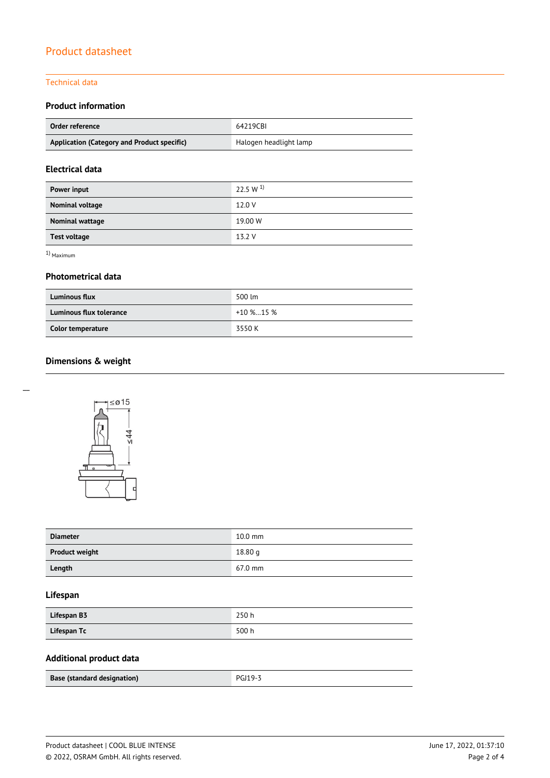### Technical data

# **Product information**

| Order reference                             | 64219CBI               |  |
|---------------------------------------------|------------------------|--|
| Application (Category and Product specific) | Halogen headlight lamp |  |

# **Electrical data**

| Power input            | 22.5 W $^{1}$ |
|------------------------|---------------|
| Nominal voltage        | 12.0 V        |
| <b>Nominal wattage</b> | 19.00 W       |
| <b>Test voltage</b>    | 13.2 V        |

1) Maximum

## **Photometrical data**

| <b>Luminous flux</b>     | 500 lm       |  |
|--------------------------|--------------|--|
| Luminous flux tolerance  | $+10\%$ 15 % |  |
| <b>Color temperature</b> | 3550 K       |  |

# **Dimensions & weight**





| <b>Diameter</b>       | $10.0$ mm |
|-----------------------|-----------|
| <b>Product weight</b> | 18.80 g   |
| Length                | 67.0 mm   |

# **Lifespan**

| Lifespan B3 | 250 h |
|-------------|-------|
| Lifespan Tc | 500 h |

# **Additional product data**

| Base (standard designation) | PGI19- <sup>2</sup> |
|-----------------------------|---------------------|
|                             |                     |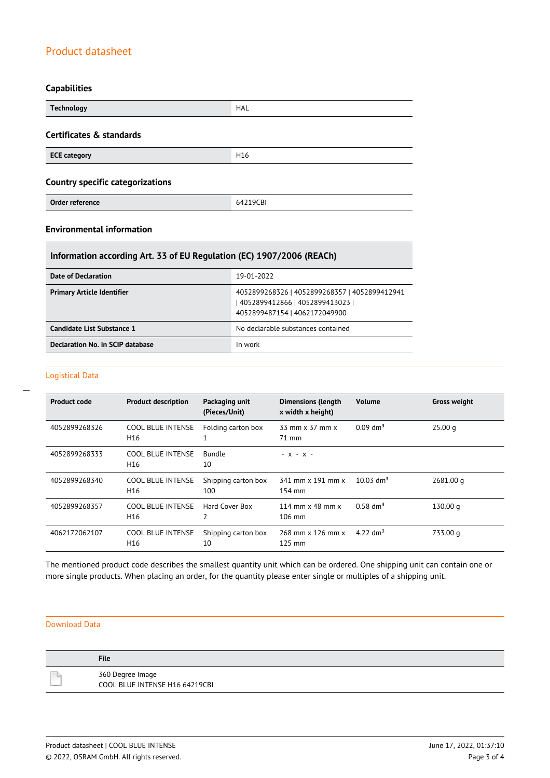# **Capabilities**

| <b>Technology</b>                       | <b>HAL</b>      |  |
|-----------------------------------------|-----------------|--|
| Certificates & standards                |                 |  |
| <b>ECE category</b>                     | H <sub>16</sub> |  |
| <b>Country specific categorizations</b> |                 |  |
| Order reference                         | 64219CBI        |  |

# **Environmental information**

# **Information according Art. 33 of EU Regulation (EC) 1907/2006 (REACh)**

| Date of Declaration               | 19-01-2022                                                                                                          |
|-----------------------------------|---------------------------------------------------------------------------------------------------------------------|
| <b>Primary Article Identifier</b> | 4052899268326   4052899268357   4052899412941<br>  4052899412866   4052899413023  <br>4052899487154   4062172049900 |
| Candidate List Substance 1        | No declarable substances contained                                                                                  |
| Declaration No. in SCIP database  | In work                                                                                                             |

#### Logistical Data

 $\overline{a}$ 

| <b>Product code</b> | <b>Product description</b>                  | Packaging unit<br>(Pieces/Unit) | <b>Dimensions (length</b><br>x width x height)     | <b>Volume</b>           | <b>Gross weight</b> |
|---------------------|---------------------------------------------|---------------------------------|----------------------------------------------------|-------------------------|---------------------|
| 4052899268326       | <b>COOL BLUE INTENSE</b><br>H <sub>16</sub> | Folding carton box              | 33 mm x 37 mm x<br>71 mm                           | $0.09$ dm <sup>3</sup>  | 25.00 <sub>a</sub>  |
| 4052899268333       | <b>COOL BLUE INTENSE</b><br>H <sub>16</sub> | <b>Bundle</b><br>10             | $- X - X -$                                        |                         |                     |
| 4052899268340       | <b>COOL BLUE INTENSE</b><br>H <sub>16</sub> | Shipping carton box<br>100      | 341 mm x 191 mm x<br>154 mm                        | $10.03$ dm <sup>3</sup> | 2681.00 g           |
| 4052899268357       | COOL BLUE INTENSE<br>H <sub>16</sub>        | Hard Cover Box<br>2             | 114 mm $\times$ 48 mm $\times$<br>$106 \text{ mm}$ | $0.58 \text{ dm}^3$     | 130.00 g            |
| 4062172062107       | <b>COOL BLUE INTENSE</b><br>H <sub>16</sub> | Shipping carton box<br>10       | 268 mm x 126 mm x<br>$125$ mm                      | 4.22 dm <sup>3</sup>    | 733.00 g            |

The mentioned product code describes the smallest quantity unit which can be ordered. One shipping unit can contain one or more single products. When placing an order, for the quantity please enter single or multiples of a shipping unit.

#### Download Data

| <b>File</b>                                        |
|----------------------------------------------------|
| 360 Degree Image<br>COOL BLUE INTENSE H16 64219CBI |